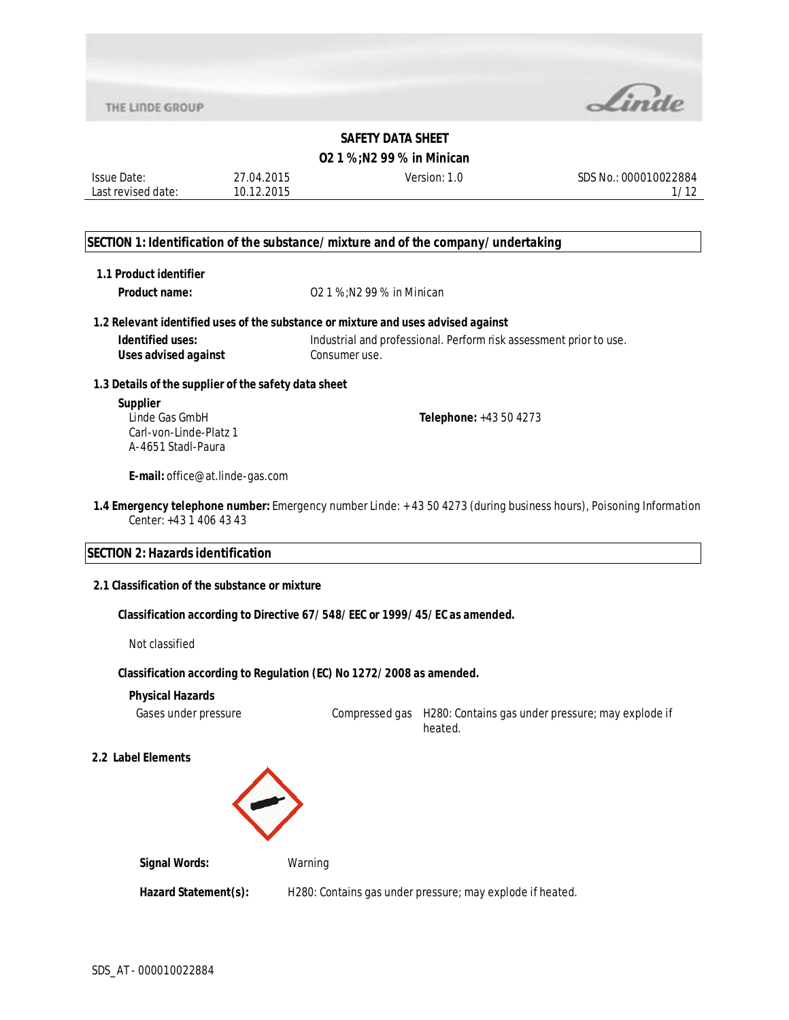

#### **O2 1 %;N2 99 % in Minican**

Issue Date: Last revised date: 27.04.2015 10.12.2015

Version: 1.0 SDS No.: 000010022884 1/12

#### **SECTION 1: Identification of the substance/mixture and of the company/undertaking**

| 1.1 Product identifier                                                            |                                                                                                                    |
|-----------------------------------------------------------------------------------|--------------------------------------------------------------------------------------------------------------------|
| Product name:                                                                     | 02 1 %; N 2 99 % in Minican                                                                                        |
|                                                                                   | 1.2 Relevant identified uses of the substance or mixture and uses advised against                                  |
| Identified uses:<br>Uses advised against                                          | Industrial and professional. Perform risk assessment prior to use.<br>Consumeruse.                                 |
| 1.3 Details of the supplier of the safety data sheet                              |                                                                                                                    |
| <b>Supplier</b><br>Linde Gas GmbH<br>Carl-von-Linde-Platz 1<br>A-4651 Stadl-Paura | <b>Telephone:</b> $+43504273$                                                                                      |
| <b>E-mail:</b> office@at.linde-gas.com                                            |                                                                                                                    |
| Center: $+4314064343$                                                             | 1.4 Emergency telephone number: Emergency number Linde: +43 50 4273 (during business hours), Poisoning Information |
| <b>SECTION 2: Hazards identification</b>                                          |                                                                                                                    |
| 2.1 Classification of the substance or mixture                                    |                                                                                                                    |

**Classification according to Directive 67/548/EEC or 1999/45/EC as amended.**

Not classified

#### **Classification according to Regulation (EC) No 1272/2008 as amended.**

#### **Physical Hazards**

Gases under pressure Compressed gas H280: Contains gas under pressure; may explode if heated.

#### **2.2 Label Elements**



**Signal Words:** Warning

Hazard Statement(s): H280: Contains gas under pressure; may explode if heated.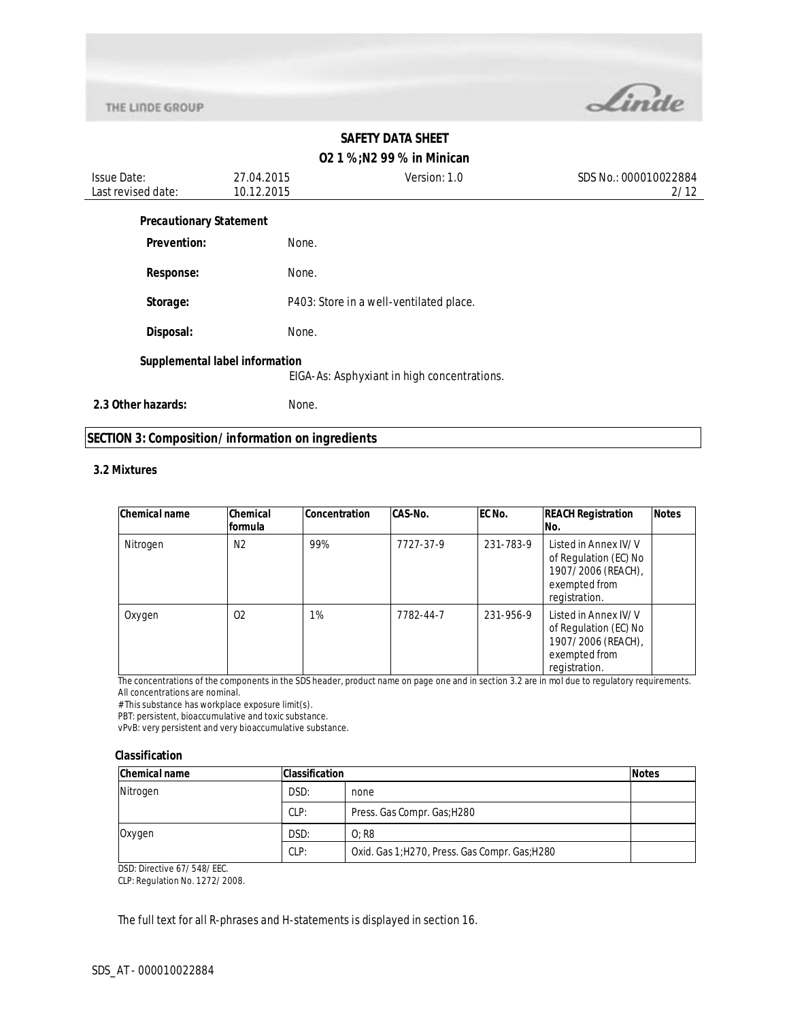

# **O2 1 %;N2 99 % in Minican**

| <b>Issue Date:</b><br>Last revised date: | 27.04.2015<br>10.12.2015 | Version: 1.0                                | SDS No.: 000010022884<br>2/12 |
|------------------------------------------|--------------------------|---------------------------------------------|-------------------------------|
| <b>Precautionary Statement</b>           |                          |                                             |                               |
| Prevention:                              | None.                    |                                             |                               |
| <b>Response:</b>                         | None.                    |                                             |                               |
| Storage:                                 |                          | P403: Store in a well-ventilated place.     |                               |
| Disposal:                                | None.                    |                                             |                               |
| Supplemental label information           |                          | EIGA-As: Asphyxiant in high concentrations. |                               |
| 2.3 Other hazards:                       | None.                    |                                             |                               |

### **SECTION 3: Composition/information on ingredients**

#### **3.2 Mixtures**

| <b>Chemical name</b> | Chemical<br>formula | <b>Concentration</b> | <b>CAS-No.</b> | EC No.    | <b>REACH Registration</b><br>No.                                                                      | <b>Notes</b> |
|----------------------|---------------------|----------------------|----------------|-----------|-------------------------------------------------------------------------------------------------------|--------------|
| Nitrogen             | N <sub>2</sub>      | 99%                  | 7727-37-9      | 231-783-9 | Listed in Annex IV/V<br>of Regulation (EC) No<br>1907/2006 (REACH),<br>exempted from<br>registration. |              |
| Oxygen               | 02                  | 1%                   | 7782-44-7      | 231-956-9 | Listed in Annex IV/V<br>of Regulation (EC) No<br>1907/2006 (REACH),<br>exempted from<br>registration. |              |

The concentrations of the components in the SDS header, product name on page one and in section 3.2 are in mol due to regulatory requirements. All concentrations are nominal.

# This substance has workplace exposure limit(s).

PBT: persistent, bioaccumulative and toxic substance.

vPvB: very persistent and very bioaccumulative substance.

#### **Classification**

| <b>Chemical name</b> | <b>Classification</b> |                                                | <b>Notes</b> |
|----------------------|-----------------------|------------------------------------------------|--------------|
| Nitrogen             | DSD:                  | none                                           |              |
|                      | CLP:                  | Press. Gas Compr. Gas; H280                    |              |
| Oxygen               | DSD:                  | $O:$ R <sub>8</sub>                            |              |
|                      | CLP:                  | Oxid. Gas 1; H270, Press. Gas Compr. Gas; H280 |              |

DSD: Directive 67/548/EEC.

CLP: Regulation No. 1272/2008.

The full text for all R-phrases and H-statements is displayed in section 16.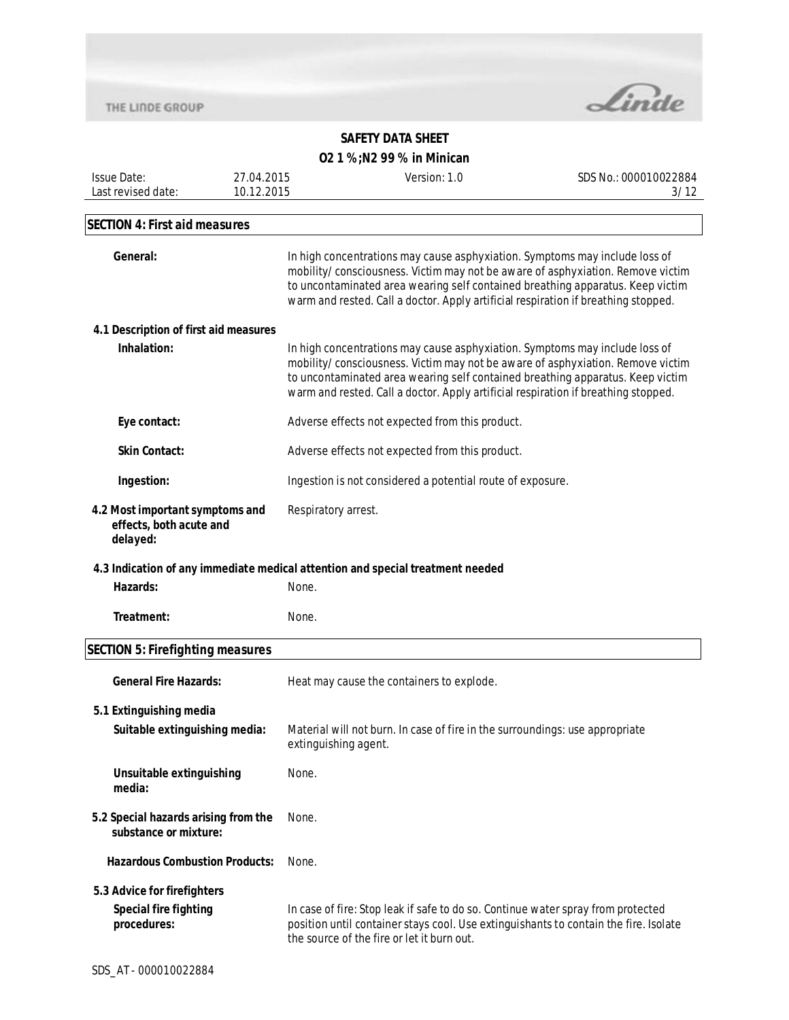

| <b>Issue Date:</b>                                                         | 27.04.2015           | Version: 1.0                                                                                                                                                                                                                                                                                                                          | SDS No.: 000010022884 |  |
|----------------------------------------------------------------------------|----------------------|---------------------------------------------------------------------------------------------------------------------------------------------------------------------------------------------------------------------------------------------------------------------------------------------------------------------------------------|-----------------------|--|
| Last revised date:                                                         | 10.12.2015           |                                                                                                                                                                                                                                                                                                                                       | 3/12                  |  |
| <b>SECTION 4: First aid measures</b>                                       |                      |                                                                                                                                                                                                                                                                                                                                       |                       |  |
| General:                                                                   |                      | In high concentrations may cause asphyxiation. Symptoms may include loss of<br>mobility/consciousness. Victim may not be aware of asphyxiation. Remove victim<br>to uncontaminated area wearing self contained breathing apparatus. Keep victim<br>warm and rested. Call a doctor. Apply artificial respiration if breathing stopped. |                       |  |
| 4.1 Description of first aid measures                                      |                      |                                                                                                                                                                                                                                                                                                                                       |                       |  |
| Inhalation:                                                                |                      | In high concentrations may cause asphyxiation. Symptoms may include loss of<br>mobility/consciousness. Victim may not be aware of asphyxiation. Remove victim<br>to uncontaminated area wearing self contained breathing apparatus. Keep victim<br>warm and rested. Call a doctor. Apply artificial respiration if breathing stopped. |                       |  |
| Eye contact:                                                               |                      | Adverse effects not expected from this product.                                                                                                                                                                                                                                                                                       |                       |  |
| <b>Skin Contact:</b>                                                       |                      | Adverse effects not expected from this product.                                                                                                                                                                                                                                                                                       |                       |  |
| Ingestion:                                                                 |                      | Ingestion is not considered a potential route of exposure.                                                                                                                                                                                                                                                                            |                       |  |
| 4.2 Most important symptoms and<br>effects, both acute and<br>delayed:     |                      | Respiratory arrest.                                                                                                                                                                                                                                                                                                                   |                       |  |
|                                                                            |                      | 4.3 Indication of any immediate medical attention and special treatment needed                                                                                                                                                                                                                                                        |                       |  |
| Hazards:                                                                   | None.                |                                                                                                                                                                                                                                                                                                                                       |                       |  |
| Treatment:                                                                 | None.                |                                                                                                                                                                                                                                                                                                                                       |                       |  |
| <b>SECTION 5: Firefighting measures</b>                                    |                      |                                                                                                                                                                                                                                                                                                                                       |                       |  |
| <b>General Fire Hazards:</b>                                               |                      | Heat may cause the containers to explode.                                                                                                                                                                                                                                                                                             |                       |  |
| 5.1 Extinguishing media<br>Suitable extinguishing media:                   | extinguishing agent. | Material will not burn. In case of fire in the surroundings: use appropriate                                                                                                                                                                                                                                                          |                       |  |
| Unsuitable extinguishing<br>media:                                         | None.                |                                                                                                                                                                                                                                                                                                                                       |                       |  |
| 5.2 Special hazards arising from the<br>substance or mixture:              | None.                |                                                                                                                                                                                                                                                                                                                                       |                       |  |
| <b>Hazardous Combustion Products:</b>                                      | None.                |                                                                                                                                                                                                                                                                                                                                       |                       |  |
| 5.3 Advice for firefighters<br><b>Special fire fighting</b><br>procedures: |                      | In case of fire: Stop leak if safe to do so. Continue water spray from protected<br>position until container stays cool. Use extinguishants to contain the fire. Isolate<br>the source of the fire or let it burn out.                                                                                                                |                       |  |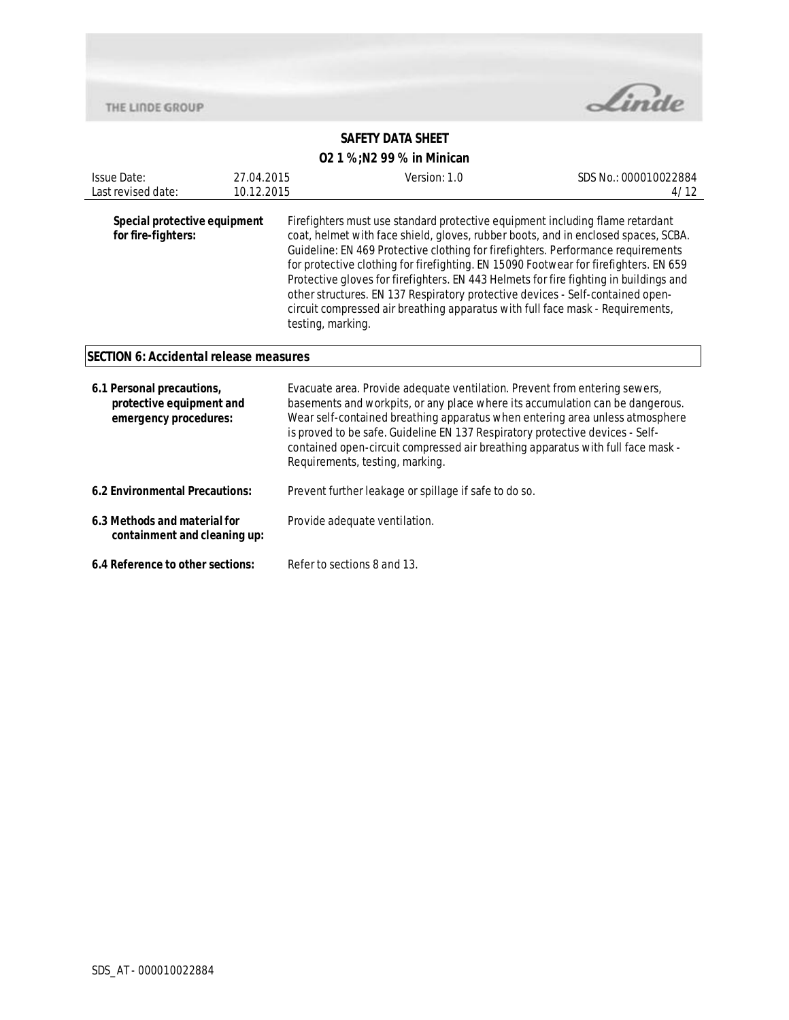THE LINDE GROUP



# **SAFETY DATA SHEET**

| <b>Issue Date:</b><br>Last revised date:                                       | 27.04.2015<br>10.12.2015 | Version: 1.0                                                                                                                                                                                                                                                                                                                                                                                                                                                                                                                                                                                                                      | SDS No.: 000010022884<br>4/12 |  |
|--------------------------------------------------------------------------------|--------------------------|-----------------------------------------------------------------------------------------------------------------------------------------------------------------------------------------------------------------------------------------------------------------------------------------------------------------------------------------------------------------------------------------------------------------------------------------------------------------------------------------------------------------------------------------------------------------------------------------------------------------------------------|-------------------------------|--|
| Special protective equipment<br>for fire-fighters:                             |                          | Firefighters must use standard protective equipment including flame retardant<br>coat, helmet with face shield, gloves, rubber boots, and in enclosed spaces, SCBA.<br>Guideline: EN 469 Protective clothing for firefighters. Performance requirements<br>for protective clothing for firefighting. EN 15090 Footwear for firefighters. EN 659<br>Protective gloves for firefighters. EN 443 Helmets for fire fighting in buildings and<br>other structures. EN 137 Respiratory protective devices - Self-contained open-<br>circuit compressed air breathing apparatus with full face mask - Requirements,<br>testing, marking. |                               |  |
| <b>SECTION 6: Accidental release measures</b>                                  |                          |                                                                                                                                                                                                                                                                                                                                                                                                                                                                                                                                                                                                                                   |                               |  |
| 6.1 Personal precautions,<br>protective equipment and<br>emergency procedures: |                          | Evacuate area. Provide adequate ventilation. Prevent from entering sewers,<br>basements and workpits, or any place where its accumulation can be dangerous.<br>Wear self-contained breathing apparatus when entering area unless atmosphere<br>is proved to be safe. Guideline EN 137 Respiratory protective devices - Self-<br>contained open-circuit compressed air breathing apparatus with full face mask -<br>Requirements, testing, marking.                                                                                                                                                                                |                               |  |
| 6.2 Environmental Precautions:                                                 |                          | Prevent further leakage or spillage if safe to do so.                                                                                                                                                                                                                                                                                                                                                                                                                                                                                                                                                                             |                               |  |
| 6.3 Methods and material for<br>containment and cleaning up:                   |                          | Provide adequate ventilation.                                                                                                                                                                                                                                                                                                                                                                                                                                                                                                                                                                                                     |                               |  |
| 6.4 Reference to other sections:                                               |                          | Refer to sections 8 and 13.                                                                                                                                                                                                                                                                                                                                                                                                                                                                                                                                                                                                       |                               |  |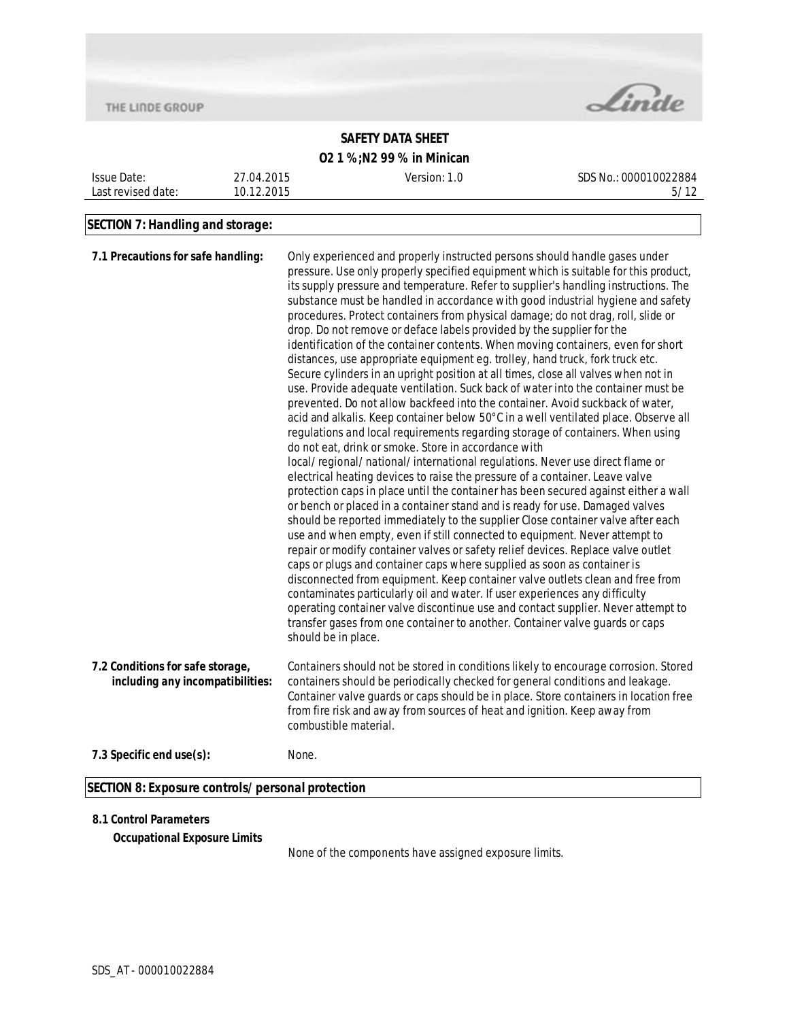THE LINDE GROUP



# **SAFETY DATA SHEET**

## **O2 1 %;N2 99 % in Minican**

| <b>Issue Date:</b> | 27.04.2015 | Version: 1.0 | SDS No.: 000010022884 |
|--------------------|------------|--------------|-----------------------|
| Last revised date: | 10.12.2015 |              | 5/12                  |
|                    |            |              |                       |

# **SECTION 7: Handling and storage:**

| 7.1 Precautions for safe handling:                                   | Only experienced and properly instructed persons should handle gases under<br>pressure. Use only properly specified equipment which is suitable for this product,<br>its supply pressure and temperature. Refer to supplier's handling instructions. The<br>substance must be handled in accordance with good industrial hygiene and safety<br>procedures. Protect containers from physical damage; do not drag, roll, slide or<br>drop. Do not remove or deface labels provided by the supplier for the<br>identification of the container contents. When moving containers, even for short<br>distances, use appropriate equipment eg. trolley, hand truck, fork truck etc.<br>Secure cylinders in an upright position at all times, close all valves when not in<br>use. Provide adequate ventilation. Suck back of water into the container must be<br>prevented. Do not allow backfeed into the container. Avoid suckback of water,                                                                                                                                                                                                                                                                                                                        |
|----------------------------------------------------------------------|-----------------------------------------------------------------------------------------------------------------------------------------------------------------------------------------------------------------------------------------------------------------------------------------------------------------------------------------------------------------------------------------------------------------------------------------------------------------------------------------------------------------------------------------------------------------------------------------------------------------------------------------------------------------------------------------------------------------------------------------------------------------------------------------------------------------------------------------------------------------------------------------------------------------------------------------------------------------------------------------------------------------------------------------------------------------------------------------------------------------------------------------------------------------------------------------------------------------------------------------------------------------|
|                                                                      | acid and alkalis. Keep container below 50°C in a well ventilated place. Observe all<br>regulations and local requirements regarding storage of containers. When using<br>do not eat, drink or smoke. Store in accordance with<br>local/regional/national/international regulations. Never use direct flame or<br>electrical heating devices to raise the pressure of a container. Leave valve<br>protection caps in place until the container has been secured against either a wall<br>or bench or placed in a container stand and is ready for use. Damaged valves<br>should be reported immediately to the supplier Close container valve after each<br>use and when empty, even if still connected to equipment. Never attempt to<br>repair or modify container valves or safety relief devices. Replace valve outlet<br>caps or plugs and container caps where supplied as soon as container is<br>disconnected from equipment. Keep container valve outlets clean and free from<br>contaminates particularly oil and water. If user experiences any difficulty<br>operating container valve discontinue use and contact supplier. Never attempt to<br>transfer gases from one container to another. Container valve guards or caps<br>should be in place. |
| 7.2 Conditions for safe storage,<br>including any incompatibilities: | Containers should not be stored in conditions likely to encourage corrosion. Stored<br>containers should be periodically checked for general conditions and leakage.<br>Container valve guards or caps should be in place. Store containers in location free<br>from fire risk and away from sources of heat and ignition. Keep away from<br>combustible material.                                                                                                                                                                                                                                                                                                                                                                                                                                                                                                                                                                                                                                                                                                                                                                                                                                                                                              |
| 7.3 Specific end use(s):                                             | None.                                                                                                                                                                                                                                                                                                                                                                                                                                                                                                                                                                                                                                                                                                                                                                                                                                                                                                                                                                                                                                                                                                                                                                                                                                                           |
| SECTION 8: Exposure controls/personal protection                     |                                                                                                                                                                                                                                                                                                                                                                                                                                                                                                                                                                                                                                                                                                                                                                                                                                                                                                                                                                                                                                                                                                                                                                                                                                                                 |

#### **8.1 Control Parameters**

**Occupational Exposure Limits**

None of the components have assigned exposure limits.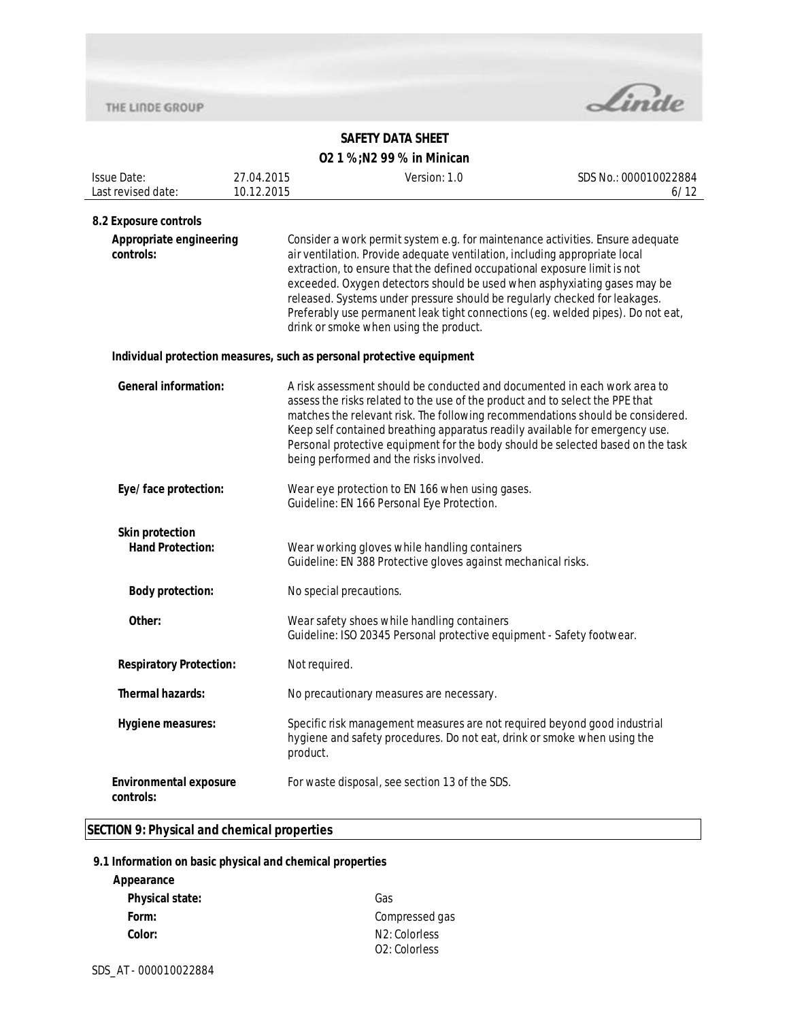

#### **SAFETY DATA SHEET O2 1 %;N2 99 % in Minican**

| <b>02 1 %;N2 99 % in Minican</b> |  |
|----------------------------------|--|
|----------------------------------|--|

| <b>Issue Date:</b>                                | 27.04.2015 | Version: 1.0                                                                                                                                                                                                                                                                                                                                                                                                                                                                                                                     | SDS No.: 000010022884 |
|---------------------------------------------------|------------|----------------------------------------------------------------------------------------------------------------------------------------------------------------------------------------------------------------------------------------------------------------------------------------------------------------------------------------------------------------------------------------------------------------------------------------------------------------------------------------------------------------------------------|-----------------------|
| Last revised date:                                | 10.12.2015 |                                                                                                                                                                                                                                                                                                                                                                                                                                                                                                                                  | 6/12                  |
| 8.2 Exposure controls                             |            |                                                                                                                                                                                                                                                                                                                                                                                                                                                                                                                                  |                       |
| Appropriate engineering<br>controls:              |            | Consider a work permit system e.g. for maintenance activities. Ensure adequate<br>air ventilation. Provide adequate ventilation, including appropriate local<br>extraction, to ensure that the defined occupational exposure limit is not<br>exceeded. Oxygen detectors should be used when asphyxiating gases may be<br>released. Systems under pressure should be regularly checked for leakages.<br>Preferably use permanent leak tight connections (eg. welded pipes). Do not eat,<br>drink or smoke when using the product. |                       |
|                                                   |            | Individual protection measures, such as personal protective equipment                                                                                                                                                                                                                                                                                                                                                                                                                                                            |                       |
| <b>General information:</b>                       |            | A risk assessment should be conducted and documented in each work area to<br>assess the risks related to the use of the product and to select the PPE that<br>matches the relevant risk. The following recommendations should be considered.<br>Keep self contained breathing apparatus readily available for emergency use.<br>Personal protective equipment for the body should be selected based on the task<br>being performed and the risks involved.                                                                       |                       |
| Eye/face protection:                              |            | Wear eye protection to EN 166 when using gases.<br>Guideline: EN 166 Personal Eye Protection.                                                                                                                                                                                                                                                                                                                                                                                                                                    |                       |
| <b>Skin protection</b><br><b>Hand Protection:</b> |            | Wear working gloves while handling containers<br>Guideline: EN 388 Protective gloves against mechanical risks.                                                                                                                                                                                                                                                                                                                                                                                                                   |                       |
| <b>Body protection:</b>                           |            | No special precautions.                                                                                                                                                                                                                                                                                                                                                                                                                                                                                                          |                       |
| Other:                                            |            | Wear safety shoes while handling containers<br>Guideline: ISO 20345 Personal protective equipment - Safety footwear.                                                                                                                                                                                                                                                                                                                                                                                                             |                       |
| <b>Respiratory Protection:</b>                    |            | Not required.                                                                                                                                                                                                                                                                                                                                                                                                                                                                                                                    |                       |
| <b>Thermal hazards:</b>                           |            | No precautionary measures are necessary.                                                                                                                                                                                                                                                                                                                                                                                                                                                                                         |                       |
| Hygiene measures:                                 |            | Specific risk management measures are not required beyond good industrial<br>hygiene and safety procedures. Do not eat, drink or smoke when using the<br>product.                                                                                                                                                                                                                                                                                                                                                                |                       |
| <b>Environmental exposure</b><br>controls:        |            | For waste disposal, see section 13 of the SDS.                                                                                                                                                                                                                                                                                                                                                                                                                                                                                   |                       |

## **SECTION 9: Physical and chemical properties**

#### **9.1 Information on basic physical and chemical properties**

| Appearance             |                            |
|------------------------|----------------------------|
| <b>Physical state:</b> | Gas                        |
| Form:                  | Compressed gas             |
| Color:                 | N <sub>2</sub> : Colorless |
|                        | O <sub>2</sub> : Colorless |

SDS\_AT - 000010022884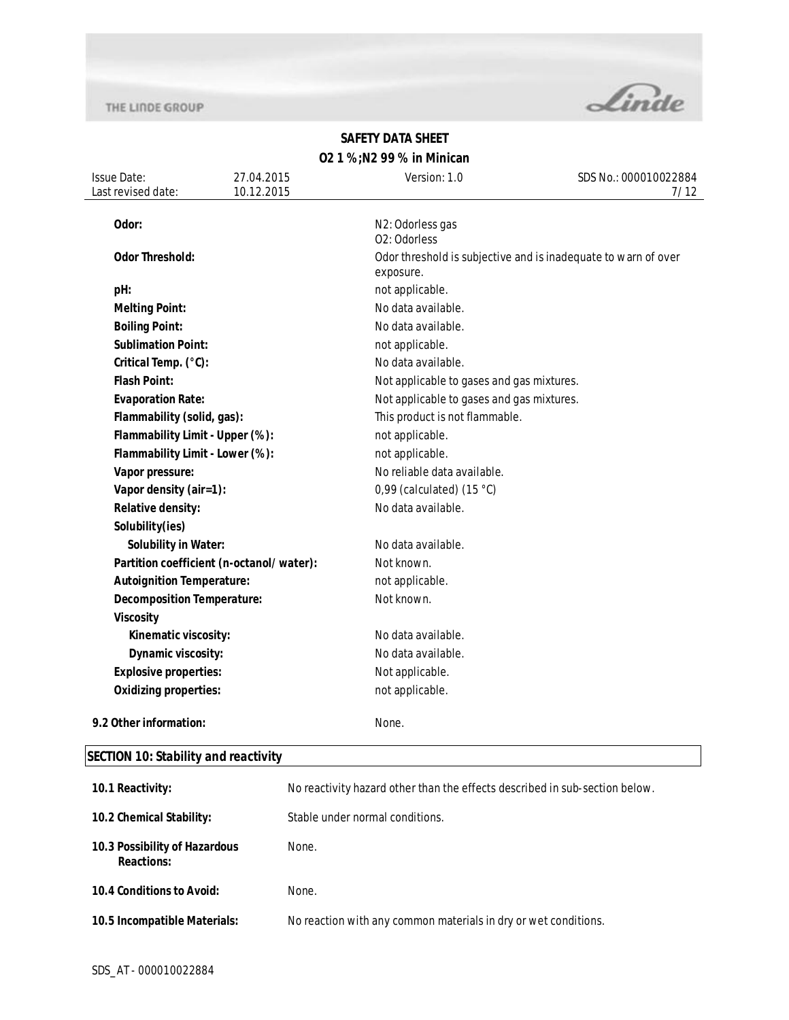

### **SAFETY DATA SHEET O2 1 %;N2 99 % in Minican**

| <b>Issue Date:</b><br>Last revised date: | 27.04.2015<br>10.12.2015                 | Version: 1.0                              | SDS No.: 000010022884<br>7/12                                  |  |
|------------------------------------------|------------------------------------------|-------------------------------------------|----------------------------------------------------------------|--|
| Odor:                                    |                                          | N2: Odorless gas<br>02: Odorless          |                                                                |  |
| <b>Odor Threshold:</b>                   |                                          | exposure.                                 | Odor threshold is subjective and is inadequate to warn of over |  |
| pH:                                      |                                          | not applicable.                           |                                                                |  |
| <b>Melting Point:</b>                    |                                          | No data available.                        |                                                                |  |
| <b>Boiling Point:</b>                    |                                          | No data available.                        |                                                                |  |
| <b>Sublimation Point:</b>                |                                          | not applicable.                           |                                                                |  |
| Critical Temp. (°C):                     |                                          | No data available.                        |                                                                |  |
| <b>Flash Point:</b>                      |                                          | Not applicable to gases and gas mixtures. |                                                                |  |
| <b>Evaporation Rate:</b>                 |                                          | Not applicable to gases and gas mixtures. |                                                                |  |
| Flammability (solid, gas):               |                                          | This product is not flammable.            |                                                                |  |
|                                          | Flammability Limit - Upper (%):          | not applicable.                           |                                                                |  |
|                                          | Flammability Limit - Lower (%):          | not applicable.                           |                                                                |  |
| Vapor pressure:                          |                                          | No reliable data available.               |                                                                |  |
| Vapor density (air=1):                   |                                          | 0,99 (calculated) $(15 °C)$               |                                                                |  |
| Relative density:                        |                                          | No data available.                        |                                                                |  |
| Solubility(ies)                          |                                          |                                           |                                                                |  |
| <b>Solubility in Water:</b>              |                                          | No data available.                        |                                                                |  |
|                                          | Partition coefficient (n-octanol/water): | Not known.                                |                                                                |  |
| <b>Autoignition Temperature:</b>         |                                          | not applicable.                           |                                                                |  |
|                                          | <b>Decomposition Temperature:</b>        | Not known.                                |                                                                |  |
| <b>Viscosity</b>                         |                                          |                                           |                                                                |  |
| Kinematic viscosity:                     |                                          | No data available.                        |                                                                |  |
| Dynamic viscosity:                       |                                          | No data available.                        |                                                                |  |
| <b>Explosive properties:</b>             |                                          | Not applicable.                           |                                                                |  |
| <b>Oxidizing properties:</b>             |                                          | not applicable.                           |                                                                |  |
| 9.2 Other information:                   |                                          | None.                                     |                                                                |  |

# **SECTION 10: Stability and reactivity**

| No reactivity hazard other than the effects described in sub-section below. |
|-----------------------------------------------------------------------------|
| Stable under normal conditions.                                             |
| None.                                                                       |
| None.                                                                       |
| No reaction with any common materials in dry or wet conditions.             |
|                                                                             |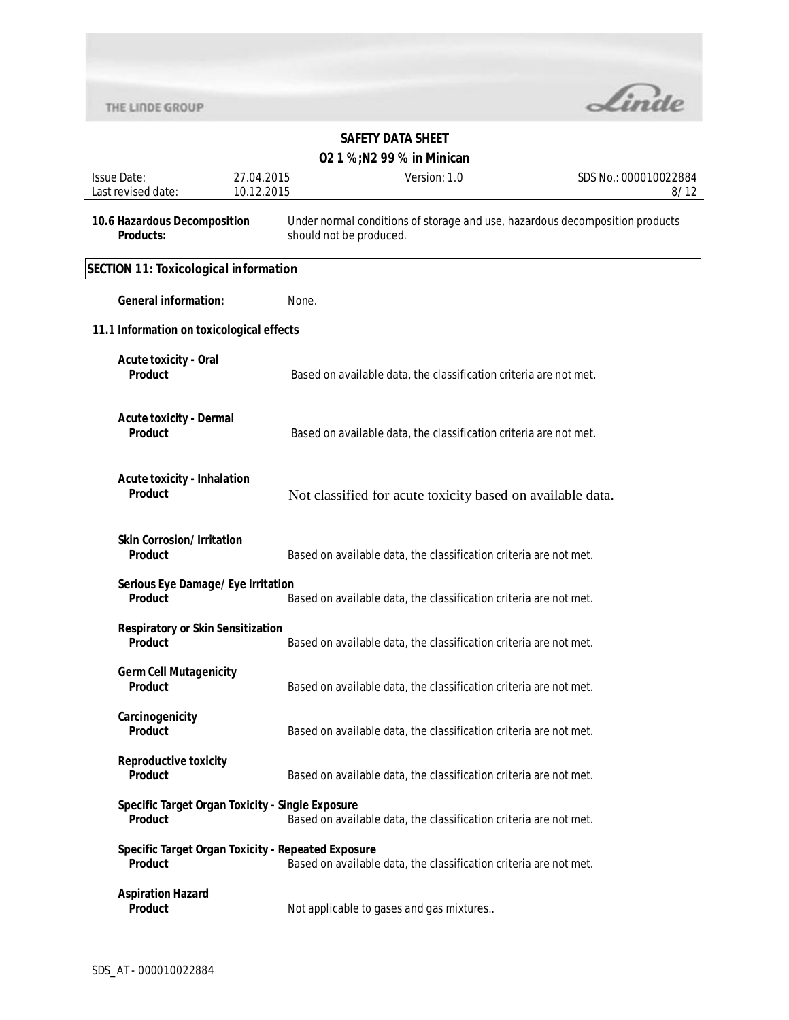

| <b>Issue Date:</b><br>Last revised date:                           | 27.04.2015<br>10.12.2015 | Version: 1.0                                                                                            | SDS No.: 000010022884<br>8/12 |
|--------------------------------------------------------------------|--------------------------|---------------------------------------------------------------------------------------------------------|-------------------------------|
| 10.6 Hazardous Decomposition<br>Products:                          |                          | Under normal conditions of storage and use, hazardous decomposition products<br>should not be produced. |                               |
| <b>SECTION 11: Toxicological information</b>                       |                          |                                                                                                         |                               |
| <b>General information:</b>                                        |                          | None.                                                                                                   |                               |
| 11.1 Information on toxicological effects                          |                          |                                                                                                         |                               |
| <b>Acute toxicity - Oral</b><br>Product                            |                          | Based on available data, the classification criteria are not met.                                       |                               |
| <b>Acute toxicity - Dermal</b><br>Product                          |                          | Based on available data, the classification criteria are not met.                                       |                               |
| <b>Acute toxicity - Inhalation</b><br><b>Product</b>               |                          | Not classified for acute toxicity based on available data.                                              |                               |
| <b>Skin Corrosion/Irritation</b><br><b>Product</b>                 |                          | Based on available data, the classification criteria are not met.                                       |                               |
| Serious Eye Damage/Eye Irritation<br><b>Product</b>                |                          | Based on available data, the classification criteria are not met.                                       |                               |
| <b>Respiratory or Skin Sensitization</b><br>Product                |                          | Based on available data, the classification criteria are not met.                                       |                               |
| <b>Germ Cell Mutagenicity</b><br><b>Product</b>                    |                          | Based on available data, the classification criteria are not met.                                       |                               |
| Carcinogenicity<br>Product                                         |                          | Based on available data, the classification criteria are not met.                                       |                               |
| <b>Reproductive toxicity</b><br><b>Product</b>                     |                          | Based on available data, the classification criteria are not met.                                       |                               |
| Specific Target Organ Toxicity - Single Exposure<br><b>Product</b> |                          | Based on available data, the classification criteria are not met.                                       |                               |
| Specific Target Organ Toxicity - Repeated Exposure<br>Product      |                          | Based on available data, the classification criteria are not met.                                       |                               |
| <b>Aspiration Hazard</b><br>Product                                |                          | Not applicable to gases and gas mixtures                                                                |                               |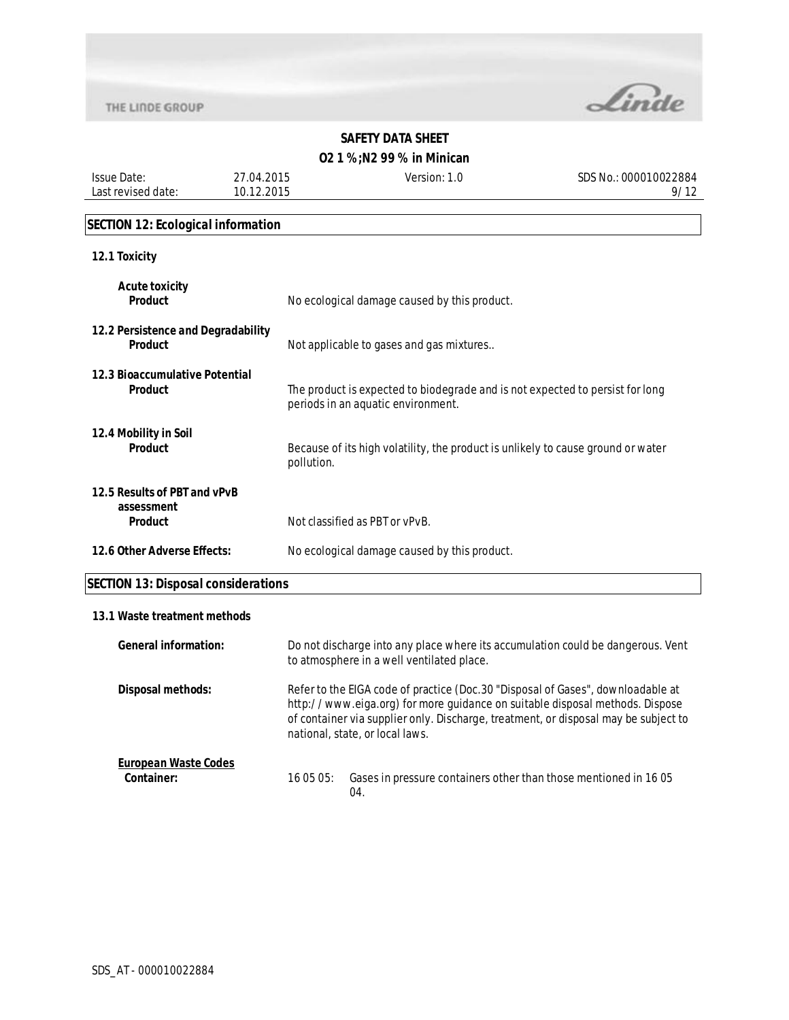

# **O2 1 %;N2 99 % in Minican**

Issue Date: Last revised date: 27.04.2015 10.12.2015

Version: 1.0 SDS No.: 000010022884 9/12

#### **SECTION 12: Ecological information**

#### **12.1 Toxicity**

| <b>Acute toxicity</b><br><b>Product</b>                      | No ecological damage caused by this product.                                                                        |
|--------------------------------------------------------------|---------------------------------------------------------------------------------------------------------------------|
| 12.2 Persistence and Degradability<br>Product                | Not applicable to gases and gas mixtures                                                                            |
| 12.3 Bioaccumulative Potential<br><b>Product</b>             | The product is expected to biodegrade and is not expected to persist for long<br>periods in an aquatic environment. |
| 12.4 Mobility in Soil<br><b>Product</b>                      | Because of its high volatility, the product is unlikely to cause ground or water<br>pollution.                      |
| 12.5 Results of PBT and vPvB<br>assessment<br><b>Product</b> | Not classified as PBT or vPvB.                                                                                      |
| 12.6 Other Adverse Effects:                                  | No ecological damage caused by this product.                                                                        |

# **SECTION 13: Disposal considerations**

#### **13.1 Waste treatment methods**

| <b>General information:</b>               | Do not discharge into any place where its accumulation could be dangerous. Vent<br>to atmosphere in a well ventilated place.                                                                                                                                                              |  |
|-------------------------------------------|-------------------------------------------------------------------------------------------------------------------------------------------------------------------------------------------------------------------------------------------------------------------------------------------|--|
| Disposal methods:                         | Refer to the EIGA code of practice (Doc.30 "Disposal of Gases", downloadable at<br>http://www.eiga.org) for more guidance on suitable disposal methods. Dispose<br>of container via supplier only. Discharge, treatment, or disposal may be subject to<br>national, state, or local laws. |  |
| <b>European Waste Codes</b><br>Container: | Gases in pressure containers other than those mentioned in 1605<br>16 05 05:<br>04.                                                                                                                                                                                                       |  |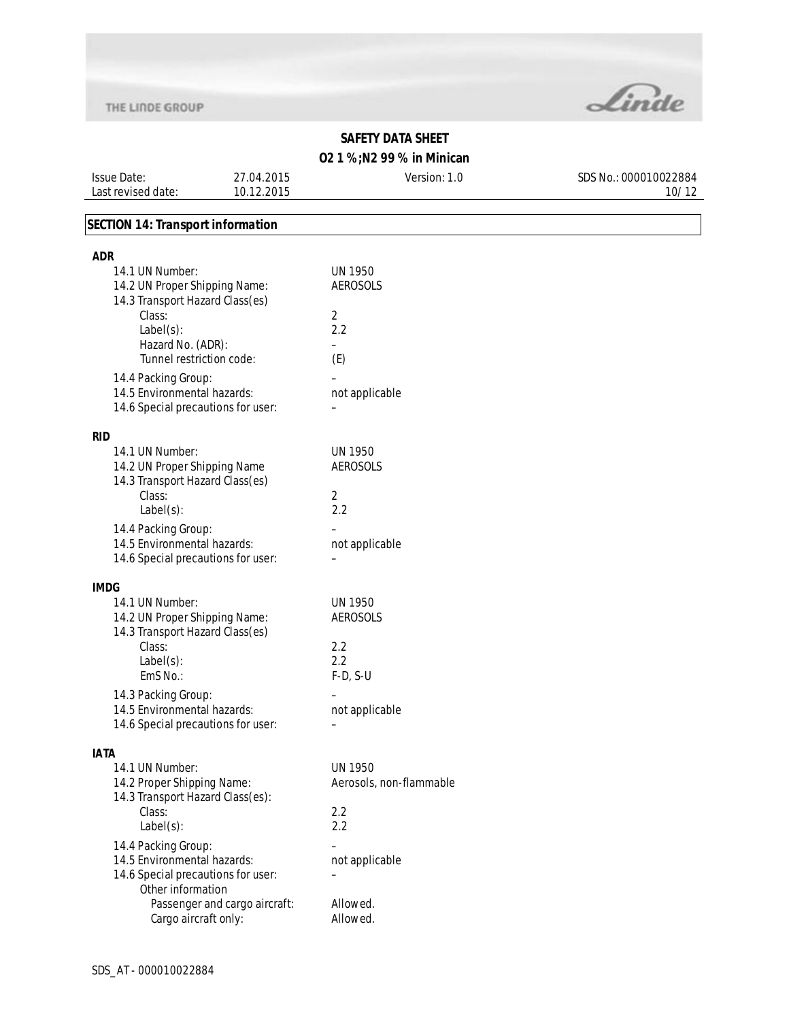

### **O2 1 %;N2 99 % in Minican**

Issue Date: Last revised date: 27.04.2015 10.12.2015

Version: 1.0 SDS No.: 000010022884 10/12

### **SECTION 14: Transport information**

| adr                                                               |                                   |
|-------------------------------------------------------------------|-----------------------------------|
| 14.1 UN Number:<br>14.2 UN Proper Shipping Name:                  | <b>UN 1950</b><br><b>AEROSOLS</b> |
| 14.3 Transport Hazard Class(es)                                   |                                   |
| Class:                                                            | 2                                 |
| $Label(s)$ :                                                      | 2.2                               |
| Hazard No. (ADR):<br>Tunnel restriction code:                     | ÷<br>(E)                          |
| 14.4 Packing Group:                                               |                                   |
| 14.5 Environmental hazards:<br>14.6 Special precautions for user: | not applicable                    |
| <b>RID</b>                                                        |                                   |
| 14.1 UN Number:                                                   | <b>UN 1950</b>                    |
| 14.2 UN Proper Shipping Name<br>14.3 Transport Hazard Class(es)   | <b>AEROSOLS</b>                   |
| Class:                                                            | 2                                 |
| $Label(s)$ :                                                      | 2.2                               |
| 14.4 Packing Group:<br>14.5 Environmental hazards:                |                                   |
| 14.6 Special precautions for user:                                | not applicable                    |
|                                                                   |                                   |
| <b>IMDG</b>                                                       |                                   |
| 14.1 UN Number:                                                   | <b>UN 1950</b>                    |
| 14.2 UN Proper Shipping Name:<br>14.3 Transport Hazard Class(es)  | <b>AEROSOLS</b>                   |
| Class:                                                            | 2.2                               |
| $Label(s)$ :                                                      | 2.2                               |
| EmS No.:                                                          | $F-D, S-U$                        |
| 14.3 Packing Group:                                               |                                   |
| 14.5 Environmental hazards:                                       | not applicable                    |
| 14.6 Special precautions for user:                                |                                   |
| <b>IATA</b>                                                       |                                   |
| 14.1 UN Number:                                                   | <b>UN 1950</b>                    |
| 14.2 Proper Shipping Name:                                        | Aerosols, non-flammable           |
| 14.3 Transport Hazard Class(es):                                  |                                   |
| Class:<br>$Label(s)$ :                                            | 2.2<br>2.2                        |
|                                                                   |                                   |
| 14.4 Packing Group:<br>14.5 Environmental hazards:                | not applicable                    |
| 14.6 Special precautions for user:                                |                                   |
| Other information                                                 |                                   |
| Passenger and cargo aircraft:                                     | Allowed.                          |
| Cargo aircraft only:                                              | Allowed.                          |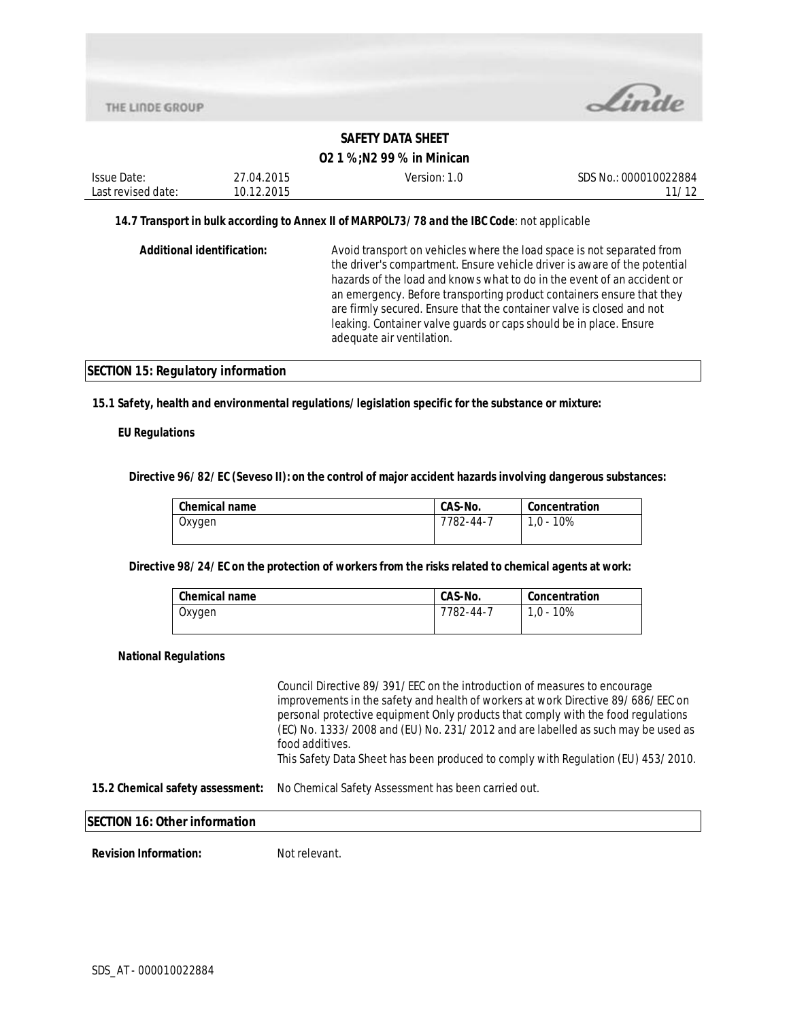

### **O2 1 %;N2 99 % in Minican**

| Issue Date:                                                                                  | 27.04.2015 | Version: 1.0                                                                                                   | SDS No.: 000010022884 |
|----------------------------------------------------------------------------------------------|------------|----------------------------------------------------------------------------------------------------------------|-----------------------|
| Last revised date:                                                                           | 10.12.2015 |                                                                                                                | 11/12                 |
| 14.7 Transport in bulk according to Annex II of MARPOL73/78 and the IBC Code: not applicable |            |                                                                                                                |                       |
|                                                                                              |            | A contribution of a contract of a late of the contract of the contract of the contract of Contract Contract Co |                       |

| Additional identification: | Avoid transport on vehicles where the load space is not separated from    |
|----------------------------|---------------------------------------------------------------------------|
|                            | the driver's compartment. Ensure vehicle driver is aware of the potential |
|                            | hazards of the load and knows what to do in the event of an accident or   |
|                            | an emergency. Before transporting product containers ensure that they     |
|                            | are firmly secured. Ensure that the container valve is closed and not     |
|                            | leaking. Container valve quards or caps should be in place. Ensure        |
|                            | adequate air ventilation.                                                 |
|                            |                                                                           |

#### **SECTION 15: Regulatory information**

#### **15.1 Safety, health and environmental regulations/legislation specific for the substance or mixture:**

#### **EU Regulations**

**Directive 96/82/EC (Seveso II): on the control of major accident hazards involving dangerous substances:** 

| <b>Chemical name</b> | CAS-No.   | Concentration |
|----------------------|-----------|---------------|
| Oxygen               | 7782-44-7 | 1.0 - 10%     |
|                      |           |               |

**Directive 98/24/EC on the protection of workers from the risks related to chemical agents at work:** 

| Chemical name | CAS-No.   | Concentration |
|---------------|-----------|---------------|
| Oxygen        | 7782-44-7 | 1.0 - 10%     |

#### **National Regulations**

Council Directive 89/391/EEC on the introduction of measures to encourage improvements in the safety and health of workers at work Directive 89/686/EEC on personal protective equipment Only products that comply with the food regulations (EC) No. 1333/2008 and (EU) No. 231/2012 and are labelled as such may be used as food additives.

This Safety Data Sheet has been produced to comply with Regulation (EU) 453/2010.

**15.2 Chemical safety assessment:** No Chemical Safety Assessment has been carried out.

#### **SECTION 16: Other information**

**Revision Information:** Not relevant.